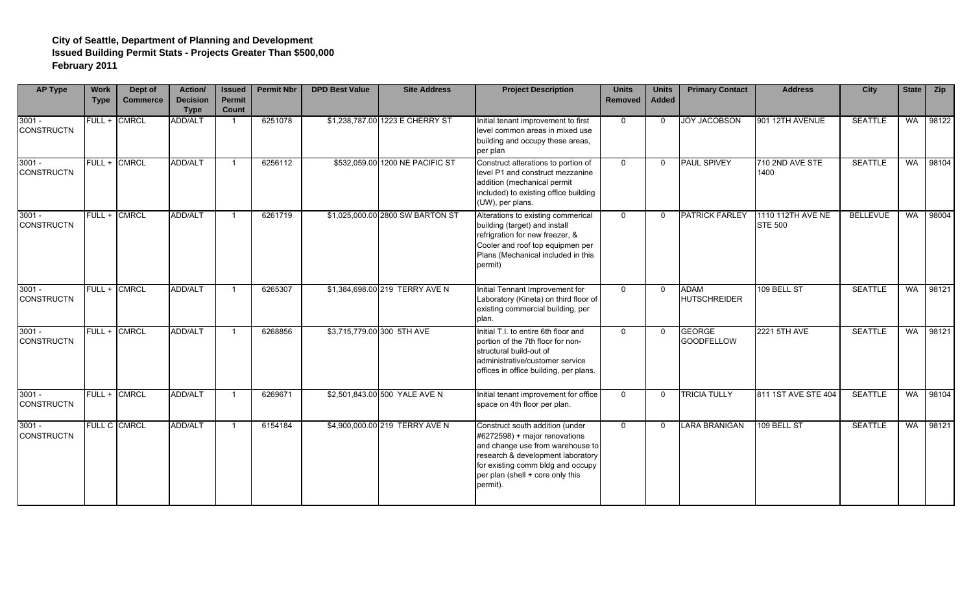| <b>AP Type</b>                | Work<br><b>Type</b> | Dept of<br><b>Commerce</b> | <b>Action/</b><br><b>Decision</b><br><b>Type</b> | <b>Issued</b><br><b>Permit</b><br>Count | <b>Permit Nbr</b> | <b>DPD Best Value</b> | <b>Site Address</b>              | <b>Project Description</b>                                                                                                                                                                                                     | <b>Units</b><br><b>Removed</b> | <b>Units</b><br><b>Added</b> | <b>Primary Contact</b>             | <b>Address</b>                      | City            | <b>State</b> | <b>Zip</b> |
|-------------------------------|---------------------|----------------------------|--------------------------------------------------|-----------------------------------------|-------------------|-----------------------|----------------------------------|--------------------------------------------------------------------------------------------------------------------------------------------------------------------------------------------------------------------------------|--------------------------------|------------------------------|------------------------------------|-------------------------------------|-----------------|--------------|------------|
| $3001 -$<br><b>CONSTRUCTN</b> |                     | FULL + CMRCL               | <b>ADD/ALT</b>                                   |                                         | 6251078           |                       | \$1,238,787.00 1223 E CHERRY ST  | Initial tenant improvement to first<br>level common areas in mixed use<br>building and occupy these areas,<br>per plan                                                                                                         | $\Omega$                       | $\Omega$                     | <b>JOY JACOBSON</b>                | 901 12TH AVENUE                     | <b>SEATTLE</b>  | <b>WA</b>    | 98122      |
| $3001 -$<br><b>CONSTRUCTN</b> |                     | FULL + CMRCL               | ADD/ALT                                          | -1                                      | 6256112           |                       | \$532,059.00 1200 NE PACIFIC ST  | Construct alterations to portion of<br>level P1 and construct mezzanine<br>addition (mechanical permit<br>included) to existing office building<br>(UW), per plans.                                                            | $\Omega$                       | $\Omega$                     | PAUL SPIVEY                        | 710 2ND AVE STE<br>1400             | <b>SEATTLE</b>  | <b>WA</b>    | 98104      |
| $3001 -$<br><b>CONSTRUCTN</b> |                     | FULL + CMRCL               | <b>ADD/ALT</b>                                   | -1                                      | 6261719           |                       | \$1,025,000.00 2800 SW BARTON ST | Alterations to existing commerical<br>building (target) and install<br>refrigration for new freezer, &<br>Cooler and roof top equipmen per<br>Plans (Mechanical included in this<br>permit)                                    | $\Omega$                       | $\Omega$                     | <b>PATRICK FARLEY</b>              | 1110 112TH AVE NE<br><b>STE 500</b> | <b>BELLEVUE</b> | WA           | 98004      |
| $3001 -$<br><b>CONSTRUCTN</b> |                     | FULL + CMRCL               | <b>ADD/ALT</b>                                   |                                         | 6265307           |                       | \$1,384,698.00 219 TERRY AVE N   | Initial Tennant Improvement for<br>Laboratory (Kineta) on third floor of<br>existing commercial building, per<br>plan.                                                                                                         | $\overline{0}$                 | $\Omega$                     | <b>ADAM</b><br><b>HUTSCHREIDER</b> | 109 BELL ST                         | <b>SEATTLE</b>  | <b>WA</b>    | 98121      |
| $3001 -$<br><b>CONSTRUCTN</b> |                     | FULL + CMRCL               | <b>ADD/ALT</b>                                   | -1                                      | 6268856           |                       | \$3,715,779.00 300 5TH AVE       | Initial T.I. to entire 6th floor and<br>portion of the 7th floor for non-<br>structural build-out of<br>administrative/customer service<br>offices in office building, per plans.                                              | $\mathbf 0$                    | 0                            | <b>GEORGE</b><br><b>GOODFELLOW</b> | 2221 5TH AVE                        | <b>SEATTLE</b>  | WA           | 98121      |
| $3001 -$<br><b>CONSTRUCTN</b> |                     | FULL + CMRCL               | <b>ADD/ALT</b>                                   | -1                                      | 6269671           |                       | \$2,501,843.00 500 YALE AVE N    | Initial tenant improvement for office<br>space on 4th floor per plan.                                                                                                                                                          | $\overline{0}$                 | $\mathbf 0$                  | <b>TRICIA TULLY</b>                | 811 1ST AVE STE 404                 | <b>SEATTLE</b>  |              | WA 98104   |
| $3001 -$<br><b>CONSTRUCTN</b> |                     | <b>FULL C CMRCL</b>        | <b>ADD/ALT</b>                                   | -1                                      | 6154184           |                       | \$4,900,000.00 219 TERRY AVE N   | Construct south addition (under<br>#6272598) + major renovations<br>and change use from warehouse to<br>research & development laboratory<br>for existing comm bldg and occupy<br>per plan (shell + core only this<br>permit). | $\Omega$                       | $\Omega$                     | <b>LARA BRANIGAN</b>               | 109 BELL ST                         | <b>SEATTLE</b>  | WA           | 98121      |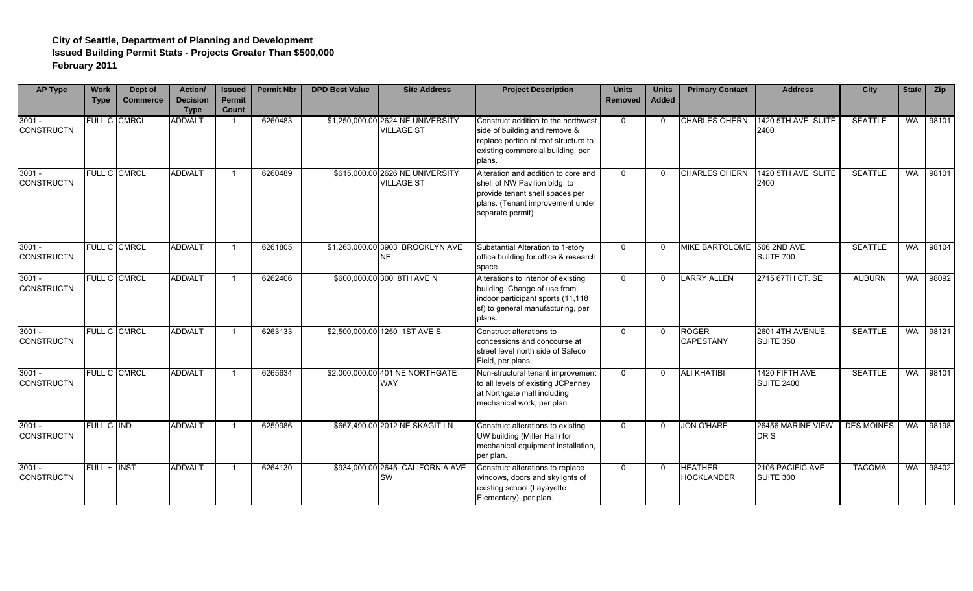| <b>AP Type</b>                | <b>Work</b><br><b>Type</b> | Dept of<br><b>Commerce</b> | <b>Action/</b><br><b>Decision</b><br><b>Type</b> | <b>Issued</b><br><b>Permit</b><br>Count | <b>Permit Nbr</b> | <b>DPD Best Value</b> | <b>Site Address</b>                                    | <b>Project Description</b>                                                                                                                                     | <b>Units</b><br><b>Removed</b> | <b>Units</b><br><b>Added</b> | <b>Primary Contact</b>              | <b>Address</b>                       | <b>City</b>       | <b>State</b> | <b>Zip</b> |
|-------------------------------|----------------------------|----------------------------|--------------------------------------------------|-----------------------------------------|-------------------|-----------------------|--------------------------------------------------------|----------------------------------------------------------------------------------------------------------------------------------------------------------------|--------------------------------|------------------------------|-------------------------------------|--------------------------------------|-------------------|--------------|------------|
| $3001 -$<br><b>CONSTRUCTN</b> |                            | FULL C CMRCL               | <b>ADD/ALT</b>                                   |                                         | 6260483           |                       | \$1,250,000.00 2624 NE UNIVERSITY<br><b>VILLAGE ST</b> | Construct addition to the northwest<br>side of building and remove &<br>replace portion of roof structure to<br>existing commercial building, per<br>plans.    | $\Omega$                       | $\Omega$                     | <b>CHARLES OHERN</b>                | 1420 5TH AVE SUITE<br>2400           | <b>SEATTLE</b>    | <b>WA</b>    | 98101      |
| $3001 -$<br><b>CONSTRUCTN</b> |                            | <b>FULL C CMRCL</b>        | ADD/ALT                                          |                                         | 6260489           |                       | \$615,000.00 2626 NE UNIVERSITY<br><b>VILLAGE ST</b>   | Alteration and addition to core and<br>shell of NW Pavilion bldg to<br>provide tenant shell spaces per<br>plans. (Tenant improvement under<br>separate permit) | $\mathbf{0}$                   | $\Omega$                     | <b>CHARLES OHERN</b>                | 1420 5TH AVE SUITE<br>2400           | <b>SEATTLE</b>    | <b>WA</b>    | 98101      |
| $3001 -$<br><b>CONSTRUCTN</b> |                            | <b>FULL C CMRCL</b>        | <b>ADD/ALT</b>                                   |                                         | 6261805           |                       | \$1,263,000.00 3903 BROOKLYN AVE<br><b>NE</b>          | Substantial Alteration to 1-story<br>office building for office & research<br>space.                                                                           | $\Omega$                       | $\Omega$                     | MIKE BARTOLOME 506 2ND AVE          | SUITE 700                            | <b>SEATTLE</b>    | <b>WA</b>    | 98104      |
| $3001 -$<br><b>CONSTRUCTN</b> |                            | FULL C CMRCL               | <b>ADD/ALT</b>                                   |                                         | 6262406           |                       | \$600,000.00 300 8TH AVE N                             | Alterations to interior of existing<br>building. Change of use from<br>indoor participant sports (11,118<br>sf) to general manufacturing, per<br>plans.        | $\Omega$                       | $\Omega$                     | <b>LARRY ALLEN</b>                  | 2715 67TH CT. SE                     | <b>AUBURN</b>     | <b>WA</b>    | 98092      |
| $3001 -$<br><b>CONSTRUCTN</b> |                            | <b>FULL C CMRCL</b>        | <b>ADD/ALT</b>                                   |                                         | 6263133           |                       | \$2,500,000.00 1250 1ST AVE S                          | Construct alterations to<br>concessions and concourse at<br>street level north side of Safeco<br>Field, per plans.                                             | $\mathbf{0}$                   | $\Omega$                     | <b>ROGER</b><br><b>CAPESTANY</b>    | 2601 4TH AVENUE<br>SUITE 350         | <b>SEATTLE</b>    | <b>WA</b>    | 98121      |
| $3001 -$<br><b>CONSTRUCTN</b> | FULL C CMRCL               |                            | <b>ADD/ALT</b>                                   |                                         | 6265634           |                       | \$2,000,000.00 401 NE NORTHGATE<br><b>WAY</b>          | Non-structural tenant improvement<br>to all levels of existing JCPenney<br>at Northgate mall including<br>mechanical work, per plan                            | $\mathbf{0}$                   | $\Omega$                     | <b>ALI KHATIBI</b>                  | 1420 FIFTH AVE<br><b>SUITE 2400</b>  | <b>SEATTLE</b>    | <b>WA</b>    | 98101      |
| $3001 -$<br><b>CONSTRUCTN</b> | FULL C IND                 |                            | ADD/ALT                                          |                                         | 6259986           |                       | \$667,490.00 2012 NE SKAGIT LN                         | Construct alterations to existing<br>UW building (Miller Hall) for<br>mechanical equipment installation,<br>per plan.                                          | $\Omega$                       | $\Omega$                     | <b>JON O'HARE</b>                   | 26456 MARINE VIEW<br>DR S            | <b>DES MOINES</b> | <b>WA</b>    | 98198      |
| $3001 -$<br><b>CONSTRUCTN</b> | <b>FULL + INST</b>         |                            | <b>ADD/ALT</b>                                   |                                         | 6264130           |                       | \$934,000.00 2645 CALIFORNIA AVE<br>SW                 | Construct alterations to replace<br>windows, doors and skylights of<br>existing school (Layayette<br>Elementary), per plan.                                    | $\mathbf{0}$                   | $\Omega$                     | <b>HEATHER</b><br><b>HOCKLANDER</b> | 2106 PACIFIC AVE<br><b>SUITE 300</b> | <b>TACOMA</b>     | <b>WA</b>    | 98402      |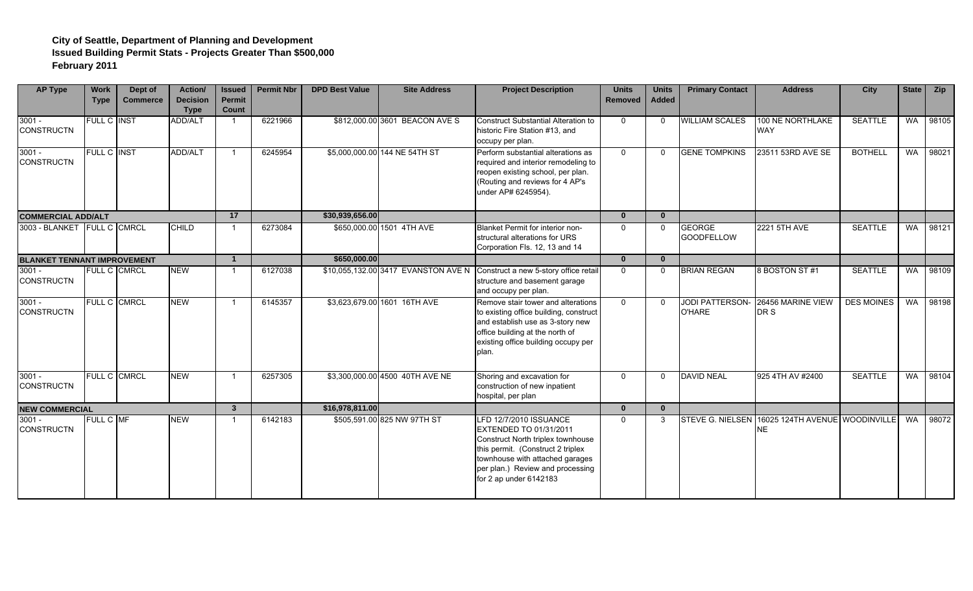| <b>AP Type</b>                     | <b>Work</b><br><b>Type</b> | Dept of<br><b>Commerce</b> | Action/<br><b>Decision</b><br><b>Type</b> | <b>Issued</b><br><b>Permit</b><br>Count | <b>Permit Nbr</b> | <b>DPD Best Value</b> | <b>Site Address</b>                 | <b>Project Description</b>                                                                                                                                                                                                         | <b>Units</b><br><b>Removed</b> | <b>Units</b><br><b>Added</b> | <b>Primary Contact</b>             | <b>Address</b>                       | <b>City</b>       | State     | <b>Zip</b> |
|------------------------------------|----------------------------|----------------------------|-------------------------------------------|-----------------------------------------|-------------------|-----------------------|-------------------------------------|------------------------------------------------------------------------------------------------------------------------------------------------------------------------------------------------------------------------------------|--------------------------------|------------------------------|------------------------------------|--------------------------------------|-------------------|-----------|------------|
| $3001 -$<br><b>CONSTRUCTN</b>      | <b>FULL C INST</b>         |                            | <b>ADD/ALT</b>                            |                                         | 6221966           |                       | \$812,000.00 3601 BEACON AVE S      | Construct Substantial Alteration to<br>historic Fire Station #13, and<br>occupy per plan.                                                                                                                                          | $\Omega$                       | $\Omega$                     | <b>WILLIAM SCALES</b>              | 100 NE NORTHLAKE<br><b>WAY</b>       | <b>SEATTLE</b>    | <b>WA</b> | 98105      |
| $3001 -$<br><b>CONSTRUCTN</b>      | FULL C INST                |                            | ADD/ALT                                   |                                         | 6245954           |                       | \$5,000,000.00 144 NE 54TH ST       | Perform substantial alterations as<br>required and interior remodeling to<br>reopen existing school, per plan.<br>(Routing and reviews for 4 AP's<br>under AP# 6245954).                                                           | $\Omega$                       | $\Omega$                     | <b>GENE TOMPKINS</b>               | 23511 53RD AVE SE                    | <b>BOTHELL</b>    | <b>WA</b> | 98021      |
| <b>COMMERCIAL ADD/ALT</b>          |                            |                            |                                           | 17                                      |                   | \$30,939,656.00       |                                     |                                                                                                                                                                                                                                    | $\mathbf{0}$                   | $\mathbf{0}$                 |                                    |                                      |                   |           |            |
| 3003 - BLANKET FULL C CMRCL        |                            |                            | <b>CHILD</b>                              |                                         | 6273084           |                       | \$650,000.00 1501 4TH AVE           | Blanket Permit for interior non-<br>structural alterations for URS<br>Corporation Fls. 12, 13 and 14                                                                                                                               | $\Omega$                       | $\Omega$                     | <b>GEORGE</b><br><b>GOODFELLOW</b> | <b>2221 5TH AVE</b>                  | <b>SEATTLE</b>    | <b>WA</b> | 98121      |
| <b>BLANKET TENNANT IMPROVEMENT</b> |                            |                            |                                           | $\mathbf{1}$                            |                   | \$650,000.00          |                                     |                                                                                                                                                                                                                                    | $\mathbf{0}$                   | $\mathbf{0}$                 |                                    |                                      |                   |           |            |
| $3001 -$<br><b>CONSTRUCTN</b>      |                            | <b>FULL C CMRCL</b>        | <b>NEW</b>                                |                                         | 6127038           |                       | \$10,055,132.00 3417 EVANSTON AVE N | Construct a new 5-story office retail<br>structure and basement garage<br>and occupy per plan.                                                                                                                                     | $\Omega$                       | $\Omega$                     | <b>BRIAN REGAN</b>                 | 8 BOSTON ST#1                        | <b>SEATTLE</b>    | <b>WA</b> | 98109      |
| $3001 -$<br><b>CONSTRUCTN</b>      |                            | <b>FULL C CMRCL</b>        | <b>NEW</b>                                |                                         | 6145357           |                       | \$3,623,679.00 1601 16TH AVE        | Remove stair tower and alterations<br>to existing office building, construct<br>and establish use as 3-story new<br>office building at the north of<br>existing office building occupy per<br>plan.                                | $\Omega$                       | $\Omega$                     | <b>JODI PATTERSON-</b><br>O'HARE   | 26456 MARINE VIEW<br>DR S            | <b>DES MOINES</b> | <b>WA</b> | 98198      |
| $3001 -$<br><b>CONSTRUCTN</b>      |                            | FULL C CMRCL               | <b>NEW</b>                                | -1                                      | 6257305           |                       | \$3,300,000.00 4500 40TH AVE NE     | Shoring and excavation for<br>construction of new inpatient<br>hospital, per plan                                                                                                                                                  | $\mathbf 0$                    | $\Omega$                     | <b>DAVID NEAL</b>                  | 925 4TH AV #2400                     | <b>SEATTLE</b>    | <b>WA</b> | 98104      |
| <b>NEW COMMERCIAL</b>              |                            |                            |                                           | $\mathbf{3}$                            |                   | \$16,978,811.00       |                                     |                                                                                                                                                                                                                                    | $\mathbf{0}$                   | $\bf{0}$                     |                                    |                                      |                   |           |            |
| $3001 -$<br><b>CONSTRUCTN</b>      | FULL C MF                  |                            | <b>NEW</b>                                |                                         | 6142183           |                       | \$505,591.00 825 NW 97TH ST         | LFD 12/7/2010 ISSUANCE<br><b>EXTENDED TO 01/31/2011</b><br>Construct North triplex townhouse<br>this permit. (Construct 2 triplex<br>townhouse with attached garages<br>per plan.) Review and processing<br>for 2 ap under 6142183 | $\mathbf 0$                    | 3                            | <b>STEVE G. NIELSEN</b>            | 16025 124TH AVENUE WOODINVILLE<br>NE |                   | <b>WA</b> | 98072      |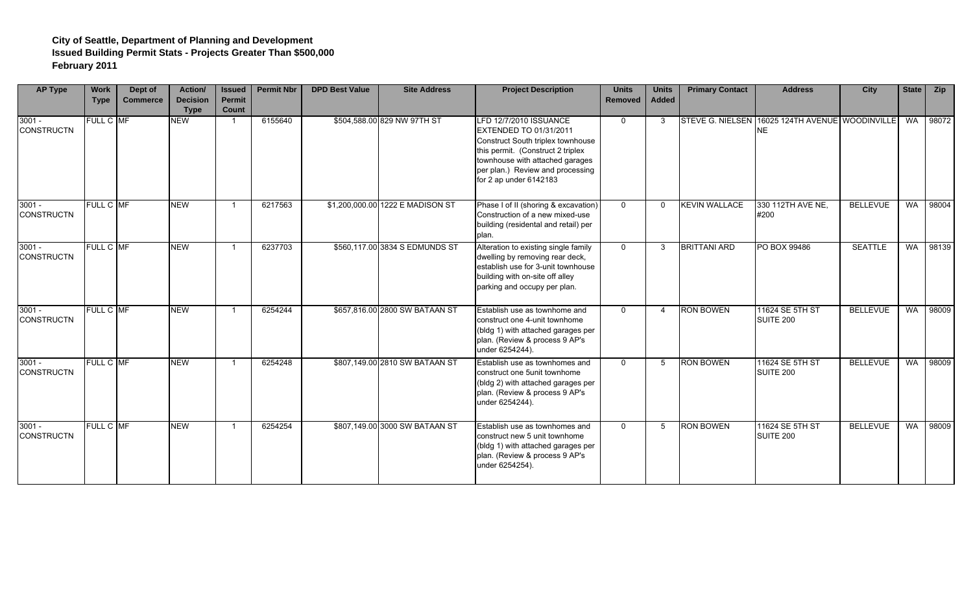| <b>AP Type</b>                | <b>Work</b><br><b>Type</b> | Dept of<br><b>Commerce</b> | Action/<br><b>Decision</b><br><b>Type</b> | <b>Issued</b><br>Permit<br>Count | <b>Permit Nbr</b> | <b>DPD Best Value</b> | <b>Site Address</b>              | <b>Project Description</b>                                                                                                                                                                                                         | <b>Units</b><br>Removed | <b>Units</b><br>Added | <b>Primary Contact</b> | <b>Address</b>                                               | <b>City</b>     | State     | <b>Zip</b> |
|-------------------------------|----------------------------|----------------------------|-------------------------------------------|----------------------------------|-------------------|-----------------------|----------------------------------|------------------------------------------------------------------------------------------------------------------------------------------------------------------------------------------------------------------------------------|-------------------------|-----------------------|------------------------|--------------------------------------------------------------|-----------------|-----------|------------|
| $3001 -$<br><b>CONSTRUCTN</b> | FULL C MF                  |                            | <b>NEW</b>                                |                                  | 6155640           |                       | \$504,588.00 829 NW 97TH ST      | <b>LFD 12/7/2010 ISSUANCE</b><br>EXTENDED TO 01/31/2011<br>Construct South triplex townhouse<br>this permit. (Construct 2 triplex<br>townhouse with attached garages<br>per plan.) Review and processing<br>for 2 ap under 6142183 | $\mathbf 0$             | 3                     |                        | STEVE G. NIELSEN 16025 124TH AVENUE WOODINVILLE<br><b>NE</b> |                 | <b>WA</b> | 98072      |
| $3001 -$<br><b>CONSTRUCTN</b> | FULL C MF                  |                            | <b>NEW</b>                                |                                  | 6217563           |                       | \$1,200,000.00 1222 E MADISON ST | Phase I of II (shoring & excavation)<br>Construction of a new mixed-use<br>building (residental and retail) per<br>plan.                                                                                                           | $\Omega$                | $\Omega$              | <b>KEVIN WALLACE</b>   | 330 112TH AVE NE,<br>#200                                    | <b>BELLEVUE</b> | <b>WA</b> | 98004      |
| $3001 -$<br><b>CONSTRUCTN</b> | FULL C MF                  |                            | <b>NEW</b>                                | -1                               | 6237703           |                       | \$560,117.00 3834 S EDMUNDS ST   | Alteration to existing single family<br>dwelling by removing rear deck,<br>establish use for 3-unit townhouse<br>building with on-site off alley<br>parking and occupy per plan.                                                   | $\Omega$                | 3                     | <b>BRITTANI ARD</b>    | PO BOX 99486                                                 | <b>SEATTLE</b>  | <b>WA</b> | 98139      |
| $3001 -$<br><b>CONSTRUCTN</b> | FULL C MF                  |                            | <b>NEW</b>                                |                                  | 6254244           |                       | \$657,816.00 2800 SW BATAAN ST   | Establish use as townhome and<br>construct one 4-unit townhome<br>(bldg 1) with attached garages per<br>plan. (Review & process 9 AP's<br>under 6254244).                                                                          | $\mathbf 0$             | $\overline{4}$        | <b>RON BOWEN</b>       | 11624 SE 5TH ST<br>SUITE 200                                 | <b>BELLEVUE</b> | WA        | 98009      |
| $3001 -$<br><b>CONSTRUCTN</b> | FULL C MF                  |                            | <b>NEW</b>                                |                                  | 6254248           |                       | \$807,149.00 2810 SW BATAAN ST   | Establish use as townhomes and<br>construct one 5unit townhome<br>(bldg 2) with attached garages per<br>plan. (Review & process 9 AP's<br>under 6254244).                                                                          | $\Omega$                | .5                    | <b>RON BOWEN</b>       | 11624 SE 5TH ST<br>SUITE 200                                 | <b>BELLEVUE</b> | <b>WA</b> | 98009      |
| $3001 -$<br><b>CONSTRUCTN</b> | FULL C MF                  |                            | <b>NEW</b>                                | -1                               | 6254254           |                       | \$807,149.00 3000 SW BATAAN ST   | Establish use as townhomes and<br>construct new 5 unit townhome<br>(bldg 1) with attached garages per<br>plan. (Review & process 9 AP's<br>under 6254254).                                                                         | $\Omega$                | -5                    | <b>RON BOWEN</b>       | 11624 SE 5TH ST<br><b>SUITE 200</b>                          | <b>BELLEVUE</b> | <b>WA</b> | 98009      |